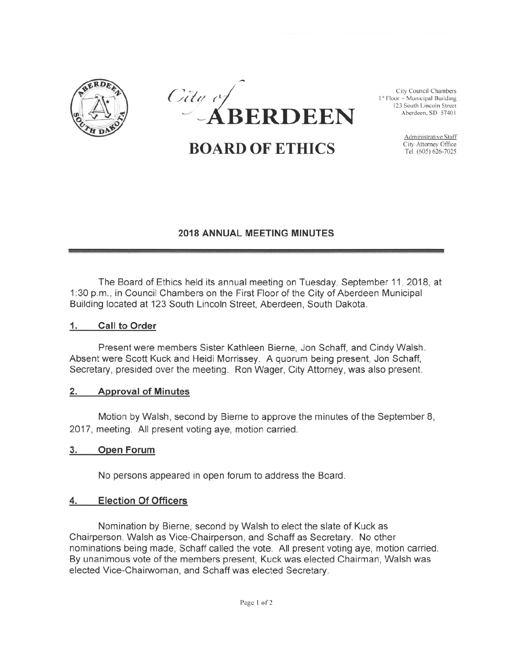



**BOARD OF ETHICS** City Attorney Office

Administrative Staff

## 2018 ANNUAL MEETING MINUTES

The Board of Ethics held its annual meeting on Tuesday, September 11, 2018, at <sup>1</sup> :30 p.m., in Council Chambers on the First Floor of the City of Aberdeen Municipal Building located at <sup>123</sup> South Lincoln Street, Aberdeen, South Dakota.

### 1. Call to Order

Present were members Sister Kathleen Bierne, Jon Schaff, and Cindy Walsh. Absent were Scott Kuck and Heidi Morrissey. <sup>A</sup> quorum being present, Jon Schaff, Secretary, presided over the meeting. Ron Wager, City Attorney, was also present.

#### 2. Approval of Minutes

Motion by Walsh, second by Bierne to approve the minutes of the September <sup>8</sup> 2017, meeting. All present voting aye, motion carried.

#### 3. Open Forum

No persons appeared in open forum to address the Board.

## 4. Election Of Officers

Nomination by Bierne, second by Walsh to elect the slate of Kuck as Chairperson, Walsh as Vice-Chairperson, and Schaff as Secretary. No other nominations being made, Schaff called the vote. All present voting aye, motion carried. By unanimous vote of the members present, Kuck was elected Chairman, Walsh was elected Vice-Chairwoman, and Schaff was elected Secretary.